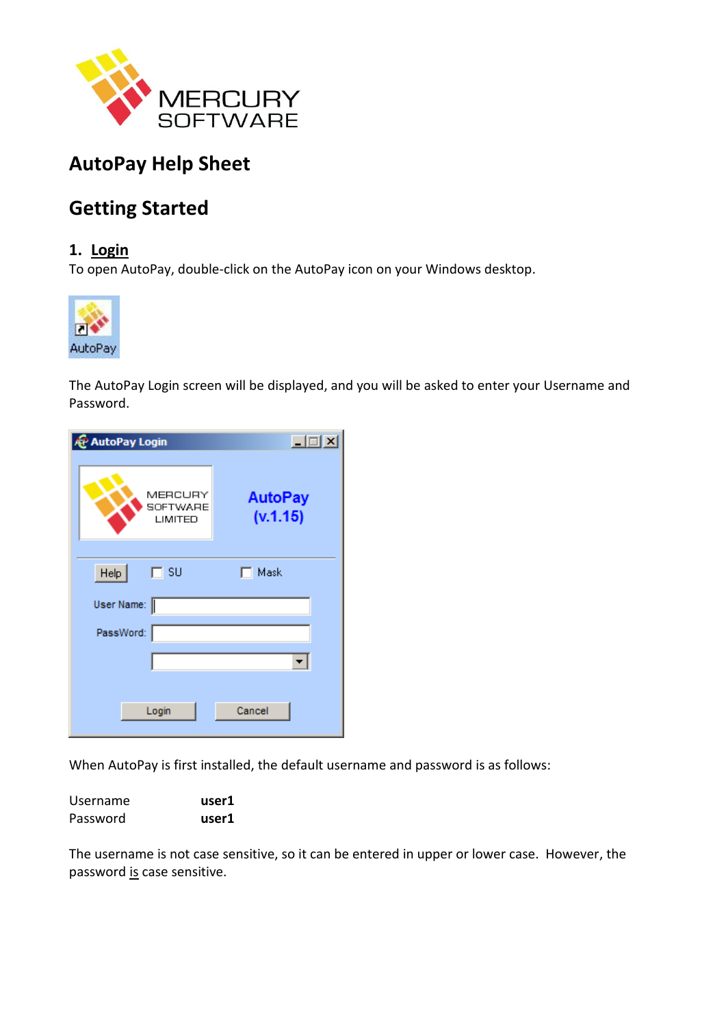

# **AutoPay Help Sheet**

# **Getting Started**

## **1. Login**

To open AutoPay, double-click on the AutoPay icon on your Windows desktop.



The AutoPay Login screen will be displayed, and you will be asked to enter your Username and Password.

| <b>AP</b> AutoPay Login        | 口回凶                        |
|--------------------------------|----------------------------|
| MERCURY<br>SOFTWARE<br>LIMITED | <b>AutoPay</b><br>(v.1.15) |
| Heip<br>$\Box$ SU              | $\Box$ Mask                |
| User Name:                     |                            |
| PassWord:                      |                            |
|                                | ▾╎                         |
| Login                          | Cancel                     |

When AutoPay is first installed, the default username and password is as follows:

| Username | user1 |
|----------|-------|
| Password | user1 |

The username is not case sensitive, so it can be entered in upper or lower case. However, the password is case sensitive.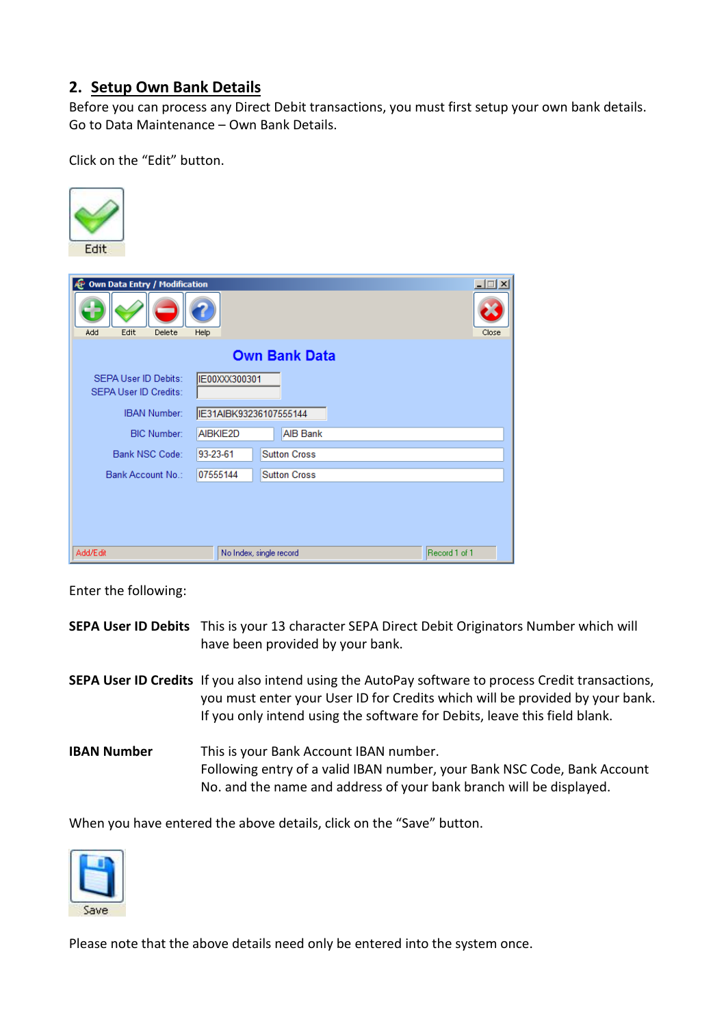# **2. Setup Own Bank Details**

Before you can process any Direct Debit transactions, you must first setup your own bank details. Go to Data Maintenance – Own Bank Details.

Click on the "Edit" button.

| Edit                                                        |                         |  |                     |  |               |        |
|-------------------------------------------------------------|-------------------------|--|---------------------|--|---------------|--------|
| & Own Data Entry / Modification                             |                         |  |                     |  |               | $\Box$ |
| Edit<br>Delete<br>Add                                       | Help                    |  |                     |  |               | Close  |
| <b>Own Bank Data</b>                                        |                         |  |                     |  |               |        |
| <b>SEPA User ID Debits:</b><br><b>SEPA User ID Credits:</b> | IE00XXX300301           |  |                     |  |               |        |
| <b>IBAN Number:</b>                                         | IE31AIBK93236107555144  |  |                     |  |               |        |
| <b>BIC Number:</b>                                          | AIBKIE2D                |  | <b>AIB Bank</b>     |  |               |        |
| Bank NSC Code:                                              | 93-23-61                |  | <b>Sutton Cross</b> |  |               |        |
| Bank Account No.:                                           | 07555144                |  | <b>Sutton Cross</b> |  |               |        |
|                                                             |                         |  |                     |  |               |        |
|                                                             |                         |  |                     |  |               |        |
| Add/Edit                                                    | No Index, single record |  |                     |  | Record 1 of 1 |        |

Enter the following:

|                    | SEPA User ID Debits This is your 13 character SEPA Direct Debit Originators Number which will<br>have been provided by your bank.                                                                                                                                      |
|--------------------|------------------------------------------------------------------------------------------------------------------------------------------------------------------------------------------------------------------------------------------------------------------------|
|                    | <b>SEPA User ID Credits</b> If you also intend using the AutoPay software to process Credit transactions,<br>you must enter your User ID for Credits which will be provided by your bank.<br>If you only intend using the software for Debits, leave this field blank. |
| <b>IBAN Number</b> | This is your Bank Account IBAN number.<br>Following entry of a valid IBAN number, your Bank NSC Code, Bank Account<br>No. and the name and address of your bank branch will be displayed.                                                                              |

When you have entered the above details, click on the "Save" button.



Please note that the above details need only be entered into the system once.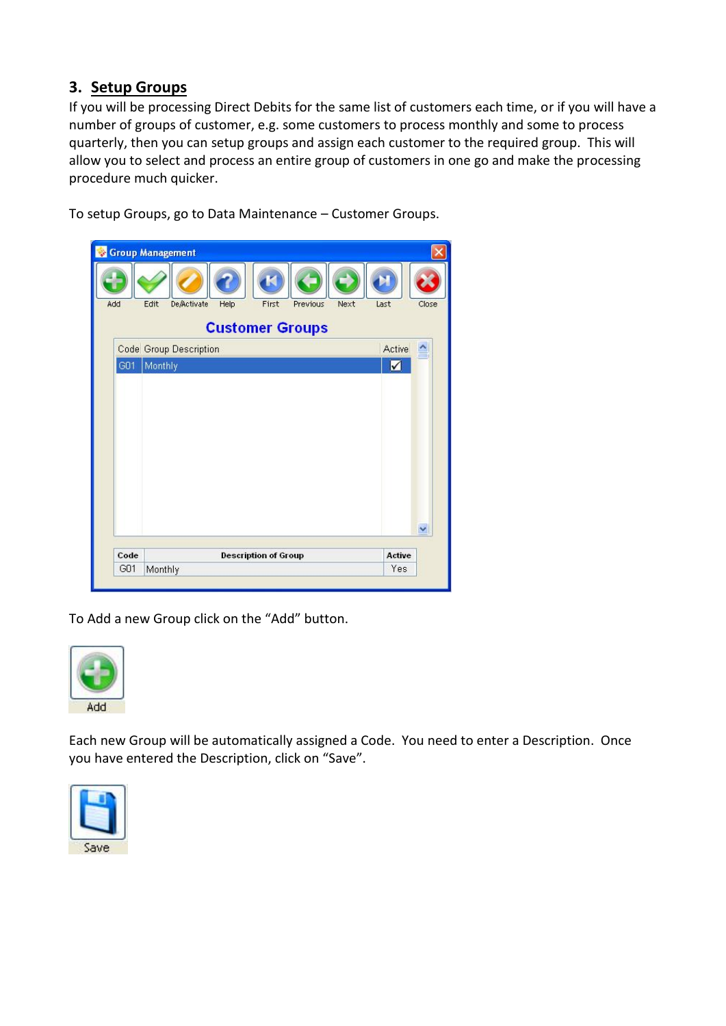# **3. Setup Groups**

If you will be processing Direct Debits for the same list of customers each time, or if you will have a number of groups of customer, e.g. some customers to process monthly and some to process quarterly, then you can setup groups and assign each customer to the required group. This will allow you to select and process an entire group of customers in one go and make the processing procedure much quicker.

To setup Groups, go to Data Maintenance – Customer Groups.



To Add a new Group click on the "Add" button.



Each new Group will be automatically assigned a Code. You need to enter a Description. Once you have entered the Description, click on "Save".

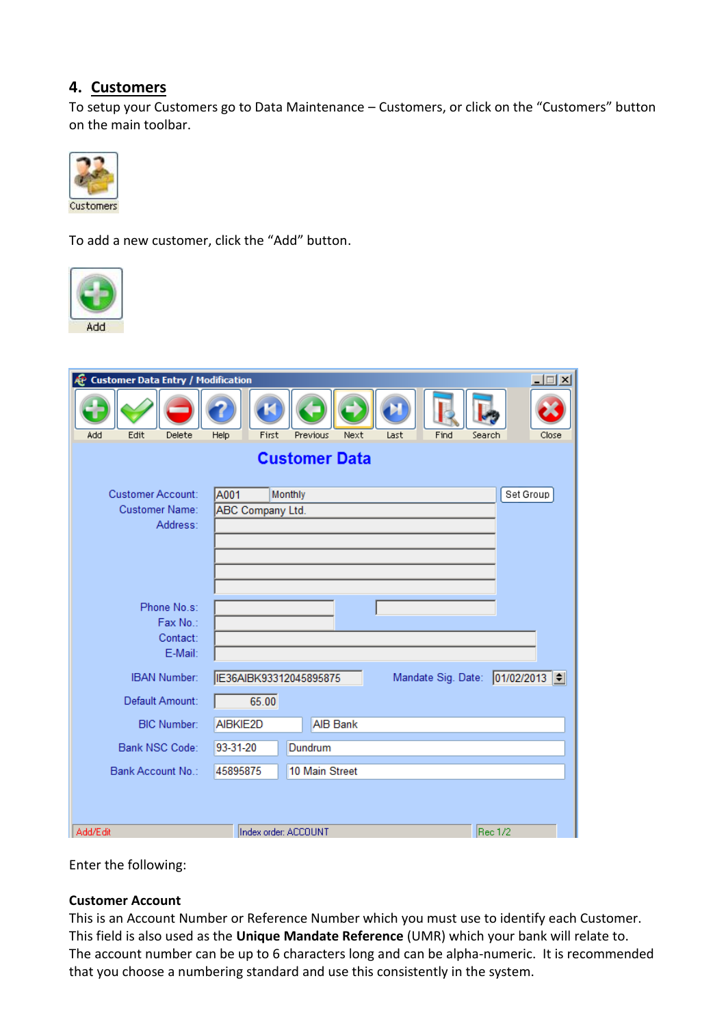### **4. Customers**

To setup your Customers go to Data Maintenance – Customers, or click on the "Customers" button on the main toolbar.



To add a new customer, click the "Add" button.



| Edit<br>Help<br>First<br>Find<br>Add<br>Delete<br>Next<br>Last<br>Search<br>Close<br>Previous<br><b>Customer Data</b><br>Customer Account:<br>A001<br>Set Group<br>Monthly<br><b>Customer Name:</b><br>ABC Company Ltd. |  |  |  |
|-------------------------------------------------------------------------------------------------------------------------------------------------------------------------------------------------------------------------|--|--|--|
|                                                                                                                                                                                                                         |  |  |  |
|                                                                                                                                                                                                                         |  |  |  |
| Address:                                                                                                                                                                                                                |  |  |  |
| Phone No.s:<br>Fax No.:<br>Contact:<br>E-Mail:                                                                                                                                                                          |  |  |  |
| Mandate Sig. Date: 01/02/2013<br><b>IBAN Number:</b><br>IE36AIBK93312045895875                                                                                                                                          |  |  |  |
| 65.00<br>Default Amount:                                                                                                                                                                                                |  |  |  |
| <b>AIB Bank</b><br><b>BIC Number:</b><br>AIBKIE2D                                                                                                                                                                       |  |  |  |
| Dundrum<br>Bank NSC Code:<br>93-31-20                                                                                                                                                                                   |  |  |  |
| 10 Main Street<br>Bank Account No.:<br>45895875                                                                                                                                                                         |  |  |  |
| Rec 1/2<br>Add/Edit<br>Index order: ACCOUNT                                                                                                                                                                             |  |  |  |

Enter the following:

### **Customer Account**

This is an Account Number or Reference Number which you must use to identify each Customer. This field is also used as the **Unique Mandate Reference** (UMR) which your bank will relate to. The account number can be up to 6 characters long and can be alpha-numeric. It is recommended that you choose a numbering standard and use this consistently in the system.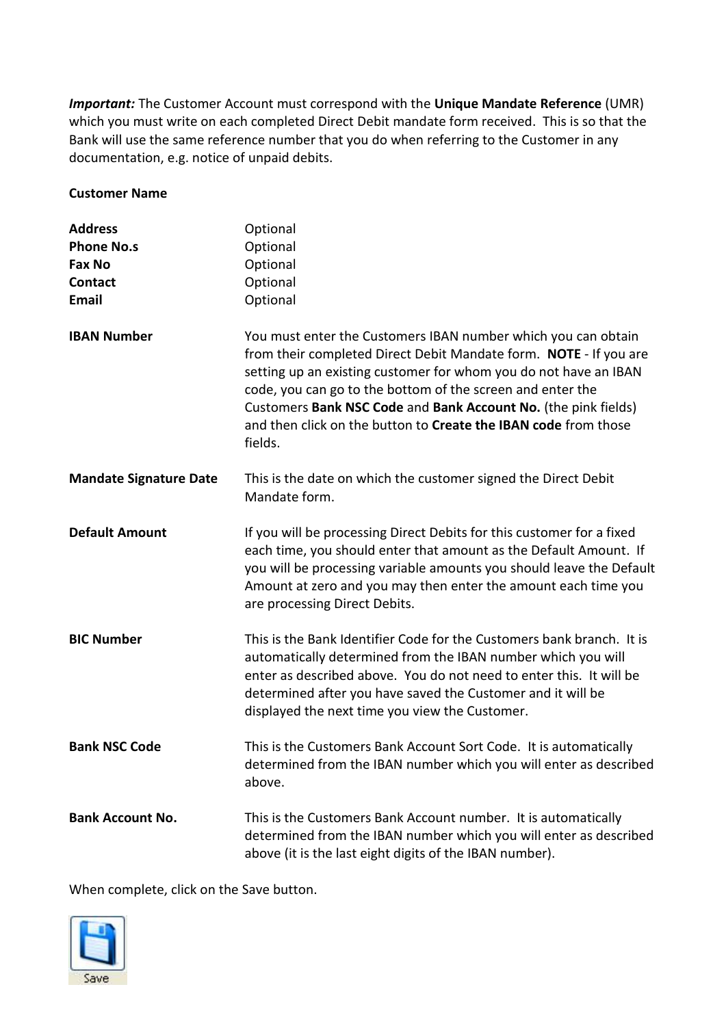*Important:* The Customer Account must correspond with the **Unique Mandate Reference** (UMR) which you must write on each completed Direct Debit mandate form received. This is so that the Bank will use the same reference number that you do when referring to the Customer in any documentation, e.g. notice of unpaid debits.

#### **Customer Name**

| <b>Address</b>                | Optional                                                                                                                                                                                                                                                                                                                                                                                                             |
|-------------------------------|----------------------------------------------------------------------------------------------------------------------------------------------------------------------------------------------------------------------------------------------------------------------------------------------------------------------------------------------------------------------------------------------------------------------|
| <b>Phone No.s</b>             | Optional                                                                                                                                                                                                                                                                                                                                                                                                             |
| Fax No                        | Optional                                                                                                                                                                                                                                                                                                                                                                                                             |
| <b>Contact</b>                | Optional                                                                                                                                                                                                                                                                                                                                                                                                             |
| <b>Email</b>                  | Optional                                                                                                                                                                                                                                                                                                                                                                                                             |
| <b>IBAN Number</b>            | You must enter the Customers IBAN number which you can obtain<br>from their completed Direct Debit Mandate form. NOTE - If you are<br>setting up an existing customer for whom you do not have an IBAN<br>code, you can go to the bottom of the screen and enter the<br>Customers Bank NSC Code and Bank Account No. (the pink fields)<br>and then click on the button to Create the IBAN code from those<br>fields. |
| <b>Mandate Signature Date</b> | This is the date on which the customer signed the Direct Debit<br>Mandate form.                                                                                                                                                                                                                                                                                                                                      |
| <b>Default Amount</b>         | If you will be processing Direct Debits for this customer for a fixed<br>each time, you should enter that amount as the Default Amount. If<br>you will be processing variable amounts you should leave the Default<br>Amount at zero and you may then enter the amount each time you<br>are processing Direct Debits.                                                                                                |
| <b>BIC Number</b>             | This is the Bank Identifier Code for the Customers bank branch. It is<br>automatically determined from the IBAN number which you will<br>enter as described above. You do not need to enter this. It will be<br>determined after you have saved the Customer and it will be<br>displayed the next time you view the Customer.                                                                                        |
| <b>Bank NSC Code</b>          | This is the Customers Bank Account Sort Code. It is automatically<br>determined from the IBAN number which you will enter as described<br>above.                                                                                                                                                                                                                                                                     |
| <b>Bank Account No.</b>       | This is the Customers Bank Account number. It is automatically<br>determined from the IBAN number which you will enter as described<br>above (it is the last eight digits of the IBAN number).                                                                                                                                                                                                                       |

When complete, click on the Save button.